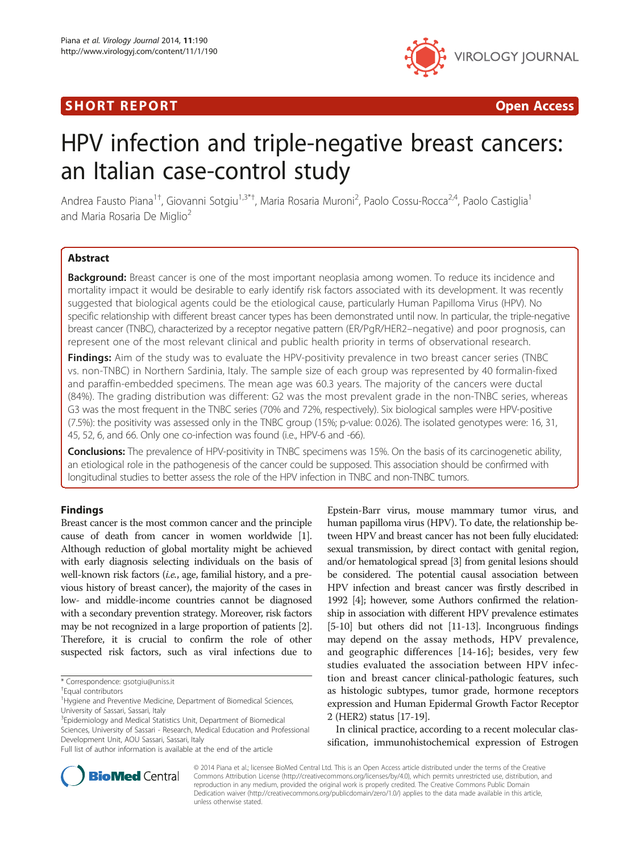# **SHORT REPORT CONSUMING THE SHORT CONSUMING THE SHORT CONSUMING THE SHORT CONSUMING THE SHORT CONSUMING THE SHO**



# HPV infection and triple-negative breast cancers: an Italian case-control study

Andrea Fausto Piana<sup>1†</sup>, Giovanni Sotgiu<sup>1,3\*†</sup>, Maria Rosaria Muroni<sup>2</sup>, Paolo Cossu-Rocca<sup>2,4</sup>, Paolo Castiglia<sup>1</sup> and Maria Rosaria De Miglio<sup>2</sup>

# Abstract

**Background:** Breast cancer is one of the most important neoplasia among women. To reduce its incidence and mortality impact it would be desirable to early identify risk factors associated with its development. It was recently suggested that biological agents could be the etiological cause, particularly Human Papilloma Virus (HPV). No specific relationship with different breast cancer types has been demonstrated until now. In particular, the triple-negative breast cancer (TNBC), characterized by a receptor negative pattern (ER/PgR/HER2–negative) and poor prognosis, can represent one of the most relevant clinical and public health priority in terms of observational research.

**Findings:** Aim of the study was to evaluate the HPV-positivity prevalence in two breast cancer series (TNBC vs. non-TNBC) in Northern Sardinia, Italy. The sample size of each group was represented by 40 formalin-fixed and paraffin-embedded specimens. The mean age was 60.3 years. The majority of the cancers were ductal (84%). The grading distribution was different: G2 was the most prevalent grade in the non-TNBC series, whereas G3 was the most frequent in the TNBC series (70% and 72%, respectively). Six biological samples were HPV-positive (7.5%): the positivity was assessed only in the TNBC group (15%; p-value: 0.026). The isolated genotypes were: 16, 31, 45, 52, 6, and 66. Only one co-infection was found (i.e., HPV-6 and -66).

**Conclusions:** The prevalence of HPV-positivity in TNBC specimens was 15%. On the basis of its carcinogenetic ability, an etiological role in the pathogenesis of the cancer could be supposed. This association should be confirmed with longitudinal studies to better assess the role of the HPV infection in TNBC and non-TNBC tumors.

## Findings

Breast cancer is the most common cancer and the principle cause of death from cancer in women worldwide [[1](#page-3-0)]. Although reduction of global mortality might be achieved with early diagnosis selecting individuals on the basis of well-known risk factors (i.e., age, familial history, and a previous history of breast cancer), the majority of the cases in low- and middle-income countries cannot be diagnosed with a secondary prevention strategy. Moreover, risk factors may be not recognized in a large proportion of patients [[2](#page-3-0)]. Therefore, it is crucial to confirm the role of other suspected risk factors, such as viral infections due to

Epstein-Barr virus, mouse mammary tumor virus, and human papilloma virus (HPV). To date, the relationship between HPV and breast cancer has not been fully elucidated: sexual transmission, by direct contact with genital region, and/or hematological spread [\[3\]](#page-3-0) from genital lesions should be considered. The potential causal association between HPV infection and breast cancer was firstly described in 1992 [[4\]](#page-3-0); however, some Authors confirmed the relationship in association with different HPV prevalence estimates [[5](#page-3-0)-[10](#page-4-0)] but others did not [\[11-13](#page-4-0)]. Incongruous findings may depend on the assay methods, HPV prevalence, and geographic differences [[14-16\]](#page-4-0); besides, very few studies evaluated the association between HPV infection and breast cancer clinical-pathologic features, such as histologic subtypes, tumor grade, hormone receptors expression and Human Epidermal Growth Factor Receptor 2 (HER2) status [[17](#page-4-0)-[19](#page-4-0)].

In clinical practice, according to a recent molecular classification, immunohistochemical expression of Estrogen



© 2014 Piana et al.; licensee BioMed Central Ltd. This is an Open Access article distributed under the terms of the Creative Commons Attribution License [\(http://creativecommons.org/licenses/by/4.0\)](http://creativecommons.org/licenses/by/4.0), which permits unrestricted use, distribution, and reproduction in any medium, provided the original work is properly credited. The Creative Commons Public Domain Dedication waiver [\(http://creativecommons.org/publicdomain/zero/1.0/](http://creativecommons.org/publicdomain/zero/1.0/)) applies to the data made available in this article, unless otherwise stated.

<sup>\*</sup> Correspondence: [gsotgiu@uniss.it](mailto:gsotgiu@uniss.it) †

Equal contributors

<sup>&</sup>lt;sup>1</sup> Hygiene and Preventive Medicine, Department of Biomedical Sciences, University of Sassari, Sassari, Italy

<sup>&</sup>lt;sup>3</sup>Epidemiology and Medical Statistics Unit, Department of Biomedical Sciences, University of Sassari - Research, Medical Education and Professional Development Unit, AOU Sassari, Sassari, Italy

Full list of author information is available at the end of the article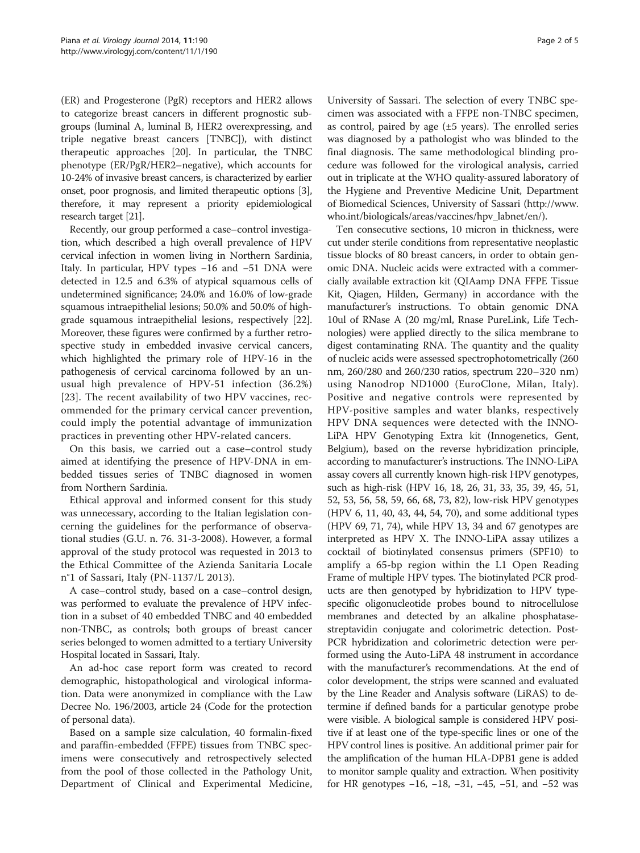(ER) and Progesterone (PgR) receptors and HER2 allows to categorize breast cancers in different prognostic subgroups (luminal A, luminal B, HER2 overexpressing, and triple negative breast cancers [TNBC]), with distinct therapeutic approaches [[20](#page-4-0)]. In particular, the TNBC phenotype (ER/PgR/HER2–negative), which accounts for 10-24% of invasive breast cancers, is characterized by earlier onset, poor prognosis, and limited therapeutic options [[3](#page-3-0)], therefore, it may represent a priority epidemiological research target [\[21](#page-4-0)].

Recently, our group performed a case–control investigation, which described a high overall prevalence of HPV cervical infection in women living in Northern Sardinia, Italy. In particular, HPV types −16 and −51 DNA were detected in 12.5 and 6.3% of atypical squamous cells of undetermined significance; 24.0% and 16.0% of low-grade squamous intraepithelial lesions; 50.0% and 50.0% of highgrade squamous intraepithelial lesions, respectively [[22](#page-4-0)]. Moreover, these figures were confirmed by a further retrospective study in embedded invasive cervical cancers, which highlighted the primary role of HPV-16 in the pathogenesis of cervical carcinoma followed by an unusual high prevalence of HPV-51 infection (36.2%) [[23](#page-4-0)]. The recent availability of two HPV vaccines, recommended for the primary cervical cancer prevention, could imply the potential advantage of immunization practices in preventing other HPV-related cancers.

On this basis, we carried out a case–control study aimed at identifying the presence of HPV-DNA in embedded tissues series of TNBC diagnosed in women from Northern Sardinia.

Ethical approval and informed consent for this study was unnecessary, according to the Italian legislation concerning the guidelines for the performance of observational studies (G.U. n. 76. 31-3-2008). However, a formal approval of the study protocol was requested in 2013 to the Ethical Committee of the Azienda Sanitaria Locale n°1 of Sassari, Italy (PN-1137/L 2013).

A case–control study, based on a case–control design, was performed to evaluate the prevalence of HPV infection in a subset of 40 embedded TNBC and 40 embedded non-TNBC, as controls; both groups of breast cancer series belonged to women admitted to a tertiary University Hospital located in Sassari, Italy.

An ad-hoc case report form was created to record demographic, histopathological and virological information. Data were anonymized in compliance with the Law Decree No. 196/2003, article 24 (Code for the protection of personal data).

Based on a sample size calculation, 40 formalin-fixed and paraffin-embedded (FFPE) tissues from TNBC specimens were consecutively and retrospectively selected from the pool of those collected in the Pathology Unit, Department of Clinical and Experimental Medicine,

University of Sassari. The selection of every TNBC specimen was associated with a FFPE non-TNBC specimen, as control, paired by age  $(\pm 5$  years). The enrolled series was diagnosed by a pathologist who was blinded to the final diagnosis. The same methodological blinding procedure was followed for the virological analysis, carried out in triplicate at the WHO quality-assured laboratory of the Hygiene and Preventive Medicine Unit, Department of Biomedical Sciences, University of Sassari ([http://www.](http://www.who.int/biologicals/areas/vaccines/hpv_labnet/en/) [who.int/biologicals/areas/vaccines/hpv\\_labnet/en/](http://www.who.int/biologicals/areas/vaccines/hpv_labnet/en/)).

Ten consecutive sections, 10 micron in thickness, were cut under sterile conditions from representative neoplastic tissue blocks of 80 breast cancers, in order to obtain genomic DNA. Nucleic acids were extracted with a commercially available extraction kit (QIAamp DNA FFPE Tissue Kit, Qiagen, Hilden, Germany) in accordance with the manufacturer's instructions. To obtain genomic DNA 10ul of RNase A (20 mg/ml, Rnase PureLink, Life Technologies) were applied directly to the silica membrane to digest contaminating RNA. The quantity and the quality of nucleic acids were assessed spectrophotometrically (260 nm, 260/280 and 260/230 ratios, spectrum 220–320 nm) using Nanodrop ND1000 (EuroClone, Milan, Italy). Positive and negative controls were represented by HPV-positive samples and water blanks, respectively HPV DNA sequences were detected with the INNO-LiPA HPV Genotyping Extra kit (Innogenetics, Gent, Belgium), based on the reverse hybridization principle, according to manufacturer's instructions. The INNO-LiPA assay covers all currently known high-risk HPV genotypes, such as high-risk (HPV 16, 18, 26, 31, 33, 35, 39, 45, 51, 52, 53, 56, 58, 59, 66, 68, 73, 82), low-risk HPV genotypes (HPV 6, 11, 40, 43, 44, 54, 70), and some additional types (HPV 69, 71, 74), while HPV 13, 34 and 67 genotypes are interpreted as HPV X. The INNO-LiPA assay utilizes a cocktail of biotinylated consensus primers (SPF10) to amplify a 65-bp region within the L1 Open Reading Frame of multiple HPV types. The biotinylated PCR products are then genotyped by hybridization to HPV typespecific oligonucleotide probes bound to nitrocellulose membranes and detected by an alkaline phosphatasestreptavidin conjugate and colorimetric detection. Post-PCR hybridization and colorimetric detection were performed using the Auto-LiPA 48 instrument in accordance with the manufacturer's recommendations. At the end of color development, the strips were scanned and evaluated by the Line Reader and Analysis software (LiRAS) to determine if defined bands for a particular genotype probe were visible. A biological sample is considered HPV positive if at least one of the type-specific lines or one of the HPV control lines is positive. An additional primer pair for the amplification of the human HLA-DPB1 gene is added to monitor sample quality and extraction. When positivity for HR genotypes −16, −18, −31, −45, −51, and −52 was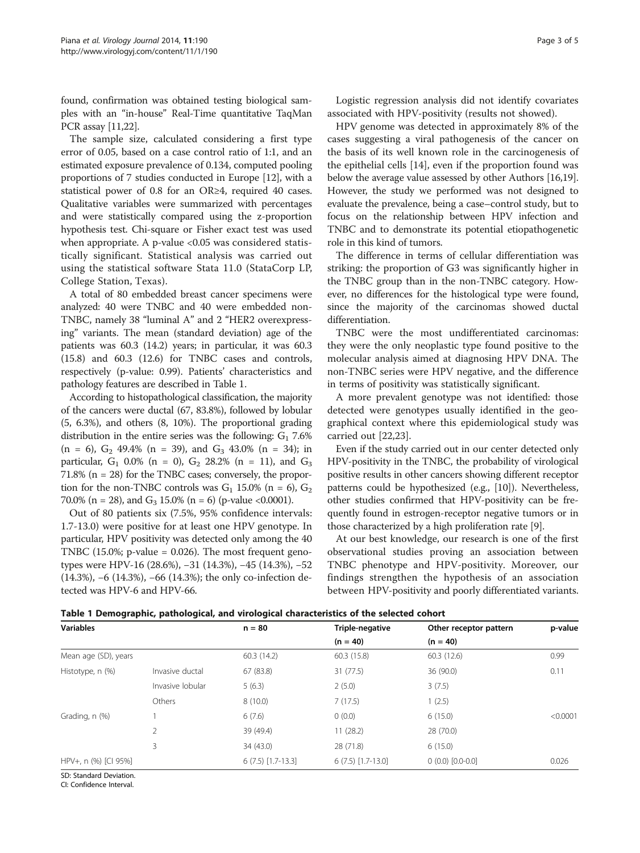found, confirmation was obtained testing biological samples with an "in-house" Real-Time quantitative TaqMan PCR assay [\[11,22\]](#page-4-0).

The sample size, calculated considering a first type error of 0.05, based on a case control ratio of 1:1, and an estimated exposure prevalence of 0.134, computed pooling proportions of 7 studies conducted in Europe [[12](#page-4-0)], with a statistical power of 0.8 for an OR≥4, required 40 cases. Qualitative variables were summarized with percentages and were statistically compared using the z-proportion hypothesis test. Chi-square or Fisher exact test was used when appropriate. A p-value <0.05 was considered statistically significant. Statistical analysis was carried out using the statistical software Stata 11.0 (StataCorp LP, College Station, Texas).

A total of 80 embedded breast cancer specimens were analyzed: 40 were TNBC and 40 were embedded non-TNBC, namely 38 "luminal A" and 2 "HER2 overexpressing" variants. The mean (standard deviation) age of the patients was 60.3 (14.2) years; in particular, it was 60.3 (15.8) and 60.3 (12.6) for TNBC cases and controls, respectively (p-value: 0.99). Patients' characteristics and pathology features are described in Table 1.

According to histopathological classification, the majority of the cancers were ductal (67, 83.8%), followed by lobular (5, 6.3%), and others (8, 10%). The proportional grading distribution in the entire series was the following:  $G_1$  7.6%  $(n = 6)$ ,  $G_2$  49.4%  $(n = 39)$ , and  $G_3$  43.0%  $(n = 34)$ ; in particular,  $G_1$  0.0% (n = 0),  $G_2$  28.2% (n = 11), and  $G_3$ 71.8% (n = 28) for the TNBC cases; conversely, the proportion for the non-TNBC controls was  $G_1$  15.0% (n = 6),  $G_2$ 70.0% (n = 28), and  $G_3$  15.0% (n = 6) (p-value <0.0001).

Out of 80 patients six (7.5%, 95% confidence intervals: 1.7-13.0) were positive for at least one HPV genotype. In particular, HPV positivity was detected only among the 40 TNBC  $(15.0\%; p-value = 0.026)$ . The most frequent genotypes were HPV-16 (28.6%), −31 (14.3%), −45 (14.3%), −52 (14.3%), −6 (14.3%), −66 (14.3%); the only co-infection detected was HPV-6 and HPV-66.

Logistic regression analysis did not identify covariates associated with HPV-positivity (results not showed).

HPV genome was detected in approximately 8% of the cases suggesting a viral pathogenesis of the cancer on the basis of its well known role in the carcinogenesis of the epithelial cells [[14\]](#page-4-0), even if the proportion found was below the average value assessed by other Authors [\[16,19](#page-4-0)]. However, the study we performed was not designed to evaluate the prevalence, being a case–control study, but to focus on the relationship between HPV infection and TNBC and to demonstrate its potential etiopathogenetic role in this kind of tumors.

The difference in terms of cellular differentiation was striking: the proportion of G3 was significantly higher in the TNBC group than in the non-TNBC category. However, no differences for the histological type were found, since the majority of the carcinomas showed ductal differentiation.

TNBC were the most undifferentiated carcinomas: they were the only neoplastic type found positive to the molecular analysis aimed at diagnosing HPV DNA. The non-TNBC series were HPV negative, and the difference in terms of positivity was statistically significant.

A more prevalent genotype was not identified: those detected were genotypes usually identified in the geographical context where this epidemiological study was carried out [[22](#page-4-0),[23](#page-4-0)].

Even if the study carried out in our center detected only HPV-positivity in the TNBC, the probability of virological positive results in other cancers showing different receptor patterns could be hypothesized (e.g., [\[10\]](#page-4-0)). Nevertheless, other studies confirmed that HPV-positivity can be frequently found in estrogen-receptor negative tumors or in those characterized by a high proliferation rate [[9\]](#page-4-0).

At our best knowledge, our research is one of the first observational studies proving an association between TNBC phenotype and HPV-positivity. Moreover, our findings strengthen the hypothesis of an association between HPV-positivity and poorly differentiated variants.

|  |  | Table 1 Demographic, pathological, and virological characteristics of the selected cohort |  |  |  |  |
|--|--|-------------------------------------------------------------------------------------------|--|--|--|--|
|--|--|-------------------------------------------------------------------------------------------|--|--|--|--|

| <b>Variables</b>     |                  | $n = 80$            | Triple-negative     | Other receptor pattern | p-value  |
|----------------------|------------------|---------------------|---------------------|------------------------|----------|
|                      |                  |                     | $(n = 40)$          | $(n = 40)$             |          |
| Mean age (SD), years |                  | 60.3(14.2)          | 60.3 (15.8)         | 60.3 (12.6)            | 0.99     |
| Histotype, n (%)     | Invasive ductal  | 67 (83.8)           | 31 (77.5)           | 36 (90.0)              | 0.11     |
|                      | Invasive lobular | 5(6.3)              | 2(5.0)              | 3(7.5)                 |          |
|                      | Others           | 8(10.0)             | 7(17.5)             | 1(2.5)                 |          |
| Grading, n (%)       |                  | 6(7.6)              | 0(0.0)              | 6(15.0)                | < 0.0001 |
|                      |                  | 39 (49.4)           | 11(28.2)            | 28 (70.0)              |          |
|                      | 3                | 34 (43.0)           | 28 (71.8)           | 6(15.0)                |          |
| HPV+, n (%) [CI 95%] |                  | $6(7.5)$ [1.7-13.3] | $6(7.5)$ [1.7-13.0] | $0(0.0)$ $[0.0-0.0]$   | 0.026    |

SD: Standard Deviation.

CI: Confidence Interval.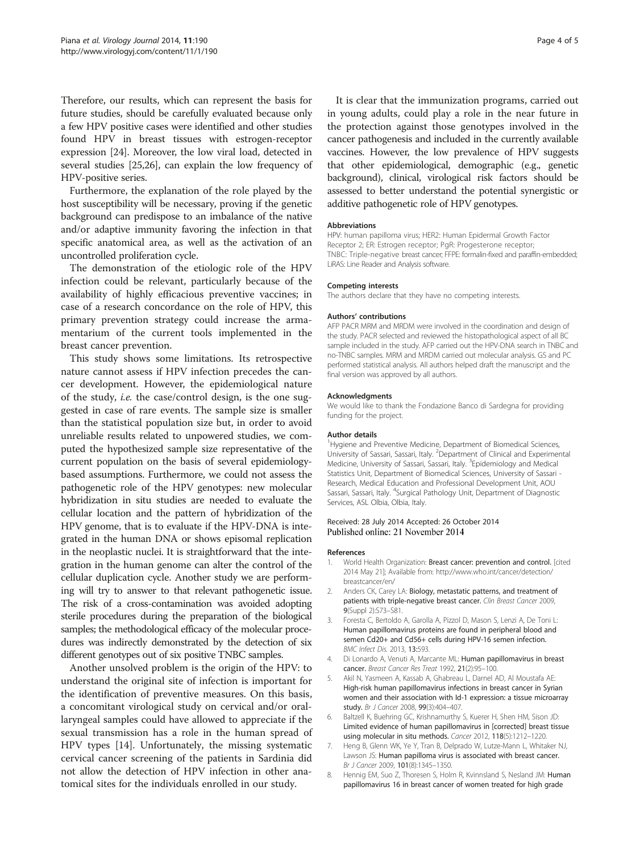<span id="page-3-0"></span>Therefore, our results, which can represent the basis for future studies, should be carefully evaluated because only a few HPV positive cases were identified and other studies found HPV in breast tissues with estrogen-receptor expression [[24](#page-4-0)]. Moreover, the low viral load, detected in several studies [[25,26](#page-4-0)], can explain the low frequency of HPV-positive series.

Furthermore, the explanation of the role played by the host susceptibility will be necessary, proving if the genetic background can predispose to an imbalance of the native and/or adaptive immunity favoring the infection in that specific anatomical area, as well as the activation of an uncontrolled proliferation cycle.

The demonstration of the etiologic role of the HPV infection could be relevant, particularly because of the availability of highly efficacious preventive vaccines; in case of a research concordance on the role of HPV, this primary prevention strategy could increase the armamentarium of the current tools implemented in the breast cancer prevention.

This study shows some limitations. Its retrospective nature cannot assess if HPV infection precedes the cancer development. However, the epidemiological nature of the study, i.e. the case/control design, is the one suggested in case of rare events. The sample size is smaller than the statistical population size but, in order to avoid unreliable results related to unpowered studies, we computed the hypothesized sample size representative of the current population on the basis of several epidemiologybased assumptions. Furthermore, we could not assess the pathogenetic role of the HPV genotypes: new molecular hybridization in situ studies are needed to evaluate the cellular location and the pattern of hybridization of the HPV genome, that is to evaluate if the HPV-DNA is integrated in the human DNA or shows episomal replication in the neoplastic nuclei. It is straightforward that the integration in the human genome can alter the control of the cellular duplication cycle. Another study we are performing will try to answer to that relevant pathogenetic issue. The risk of a cross-contamination was avoided adopting sterile procedures during the preparation of the biological samples; the methodological efficacy of the molecular procedures was indirectly demonstrated by the detection of six different genotypes out of six positive TNBC samples.

Another unsolved problem is the origin of the HPV: to understand the original site of infection is important for the identification of preventive measures. On this basis, a concomitant virological study on cervical and/or orallaryngeal samples could have allowed to appreciate if the sexual transmission has a role in the human spread of HPV types [[14](#page-4-0)]. Unfortunately, the missing systematic cervical cancer screening of the patients in Sardinia did not allow the detection of HPV infection in other anatomical sites for the individuals enrolled in our study.

It is clear that the immunization programs, carried out in young adults, could play a role in the near future in the protection against those genotypes involved in the cancer pathogenesis and included in the currently available vaccines. However, the low prevalence of HPV suggests that other epidemiological, demographic (e.g., genetic background), clinical, virological risk factors should be assessed to better understand the potential synergistic or additive pathogenetic role of HPV genotypes.

#### Abbreviations

HPV: human papilloma virus; HER2: Human Epidermal Growth Factor Receptor 2; ER: Estrogen receptor; PaR: Progesterone receptor; TNBC: Triple-negative breast cancer; FFPE: formalin-fixed and paraffin-embedded; LiRAS: Line Reader and Analysis software.

#### Competing interests

The authors declare that they have no competing interests.

#### Authors' contributions

AFP PACR MRM and MRDM were involved in the coordination and design of the study. PACR selected and reviewed the histopathological aspect of all BC sample included in the study. AFP carried out the HPV-DNA search in TNBC and no-TNBC samples. MRM and MRDM carried out molecular analysis. GS and PC performed statistical analysis. All authors helped draft the manuscript and the final version was approved by all authors.

#### Acknowledgments

We would like to thank the Fondazione Banco di Sardegna for providing funding for the project.

#### Author details

<sup>1</sup> Hygiene and Preventive Medicine, Department of Biomedical Sciences, University of Sassari, Sassari, Italy. <sup>2</sup>Department of Clinical and Experimental Medicine, University of Sassari, Sassari, Italy. <sup>3</sup>Epidemiology and Medical Statistics Unit, Department of Biomedical Sciences, University of Sassari - Research, Medical Education and Professional Development Unit, AOU Sassari, Sassari, Italy. <sup>4</sup>Surgical Pathology Unit, Department of Diagnostic Services, ASL Olbia, Olbia, Italy.

#### Received: 28 July 2014 Accepted: 26 October 2014 Published online: 21 November 2014

#### References

- 1. World Health Organization: Breast cancer: prevention and control. [cited 2014 May 21]; Available from: [http://www.who.int/cancer/detection/](http://www.who.int/cancer/detection/breastcancer/en/) [breastcancer/en/](http://www.who.int/cancer/detection/breastcancer/en/)
- 2. Anders CK, Carey LA: Biology, metastatic patterns, and treatment of patients with triple-negative breast cancer. Clin Breast Cancer 2009, 9(Suppl 2):S73–S81.
- 3. Foresta C, Bertoldo A, Garolla A, Pizzol D, Mason S, Lenzi A, De Toni L: Human papillomavirus proteins are found in peripheral blood and semen Cd20+ and Cd56+ cells during HPV-16 semen infection. BMC Infect Dis. 2013, 13:593.
- 4. Di Lonardo A, Venuti A, Marcante ML: Human papillomavirus in breast cancer. Breast Cancer Res Treat 1992, 21(2):95–100.
- 5. Akil N, Yasmeen A, Kassab A, Ghabreau L, Darnel AD, Al Moustafa AE: High-risk human papillomavirus infections in breast cancer in Syrian women and their association with Id-1 expression: a tissue microarray study. Br J Cancer 2008, 99(3):404-407.
- 6. Baltzell K, Buehring GC, Krishnamurthy S, Kuerer H, Shen HM, Sison JD: Limited evidence of human papillomavirus in [corrected] breast tissue using molecular in situ methods. Cancer 2012, 118(5):1212–1220.
- 7. Heng B, Glenn WK, Ye Y, Tran B, Delprado W, Lutze-Mann L, Whitaker NJ, Lawson JS: Human papilloma virus is associated with breast cancer. Br J Cancer 2009, 101(8):1345–1350.
- 8. Hennig EM, Suo Z, Thoresen S, Holm R, Kvinnsland S, Nesland JM: Human papillomavirus 16 in breast cancer of women treated for high grade